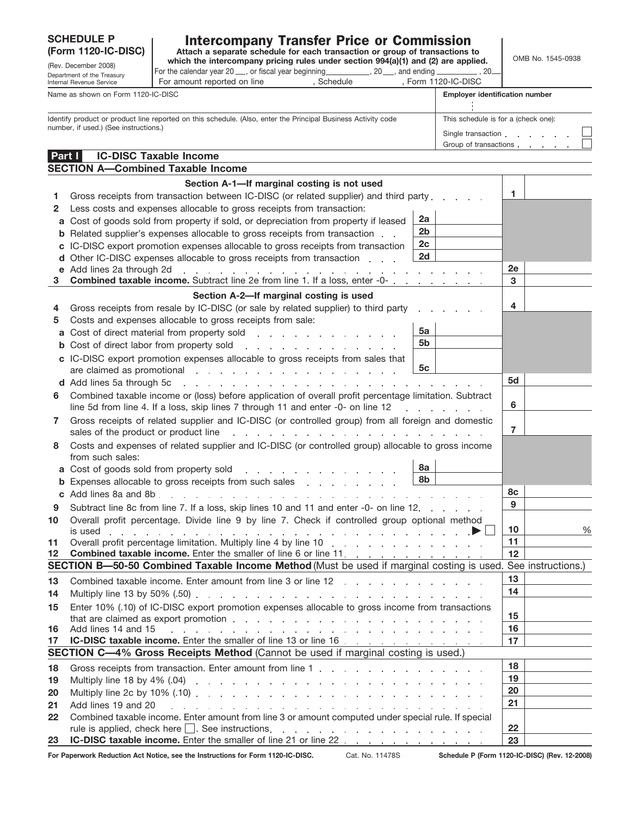## SCHEDULE P<br>(Form 1120-IC-DISC)

## **Intercompany Transfer Price or Commission**<br>Attach a separate schedule for each transaction or group of transactions to

**(Form 1120-IC-DISC)** attach a separate schedule for each transaction or group of transactions to the DISC) which the intercompany pricing rules under section 994(a)(1) and (2) are applied. (Rev. December 2008) **which the intercompany pricing rules under section 994(a)(1) and (2) are applied.**<br>Construct of the Treceurs **For the calendar year 20** , or fiscal year beginning , 20 , and ending , 20 , and ending ,

| Department of the Treasury<br>Internal Revenue Service                                                                                                 | For amount reported on line                                                                                                                                           | , Schedule | , Form 1120-IC-DISC                   |                                                           |    |  |
|--------------------------------------------------------------------------------------------------------------------------------------------------------|-----------------------------------------------------------------------------------------------------------------------------------------------------------------------|------------|---------------------------------------|-----------------------------------------------------------|----|--|
| Name as shown on Form 1120-IC-DISC                                                                                                                     |                                                                                                                                                                       |            | <b>Employer identification number</b> |                                                           |    |  |
|                                                                                                                                                        |                                                                                                                                                                       |            |                                       |                                                           |    |  |
| Identify product or product line reported on this schedule. (Also, enter the Principal Business Activity code<br>number, if used.) (See instructions.) |                                                                                                                                                                       |            |                                       | This schedule is for a (check one):<br>Single transaction |    |  |
|                                                                                                                                                        |                                                                                                                                                                       |            |                                       |                                                           |    |  |
|                                                                                                                                                        |                                                                                                                                                                       |            |                                       |                                                           |    |  |
| <b>Part I</b>                                                                                                                                          | <b>IC-DISC Taxable Income</b>                                                                                                                                         |            |                                       |                                                           |    |  |
|                                                                                                                                                        | <b>SECTION A-Combined Taxable Income</b>                                                                                                                              |            |                                       |                                                           |    |  |
|                                                                                                                                                        | Section A-1—If marginal costing is not used                                                                                                                           |            |                                       |                                                           |    |  |
| Gross receipts from transaction between IC-DISC (or related supplier) and third party                                                                  |                                                                                                                                                                       |            |                                       |                                                           | 1  |  |
| 2                                                                                                                                                      | Less costs and expenses allocable to gross receipts from transaction:                                                                                                 |            |                                       |                                                           |    |  |
| 2a<br>Cost of goods sold from property if sold, or depreciation from property if leased<br>a                                                           |                                                                                                                                                                       |            |                                       |                                                           |    |  |
| 2 <sub>b</sub><br>Related supplier's expenses allocable to gross receipts from transaction<br>b                                                        |                                                                                                                                                                       |            |                                       |                                                           |    |  |
| 2c<br>IC-DISC export promotion expenses allocable to gross receipts from transaction<br>с                                                              |                                                                                                                                                                       |            |                                       |                                                           |    |  |
| d                                                                                                                                                      | Other IC-DISC expenses allocable to gross receipts from transaction                                                                                                   |            | 2d                                    |                                                           | 2e |  |
| e Add lines 2a through 2d                                                                                                                              | and a series of the contract of the contract of the contract of the contract of<br><b>Combined taxable income.</b> Subtract line 2e from line 1. If a loss, enter -0- |            |                                       |                                                           | 3  |  |
|                                                                                                                                                        | Section A-2-If marginal costing is used                                                                                                                               |            |                                       |                                                           |    |  |
| 4                                                                                                                                                      | Gross receipts from resale by IC-DISC (or sale by related supplier) to third party                                                                                    |            |                                       |                                                           | 4  |  |
| 5                                                                                                                                                      | Costs and expenses allocable to gross receipts from sale:                                                                                                             |            |                                       |                                                           |    |  |
| a                                                                                                                                                      | Cost of direct material from property sold entity and the cost of direct material from property sold                                                                  |            | 5а                                    |                                                           |    |  |
|                                                                                                                                                        | <b>b</b> Cost of direct labor from property sold                                                                                                                      |            | 5b                                    |                                                           |    |  |
|                                                                                                                                                        | c IC-DISC export promotion expenses allocable to gross receipts from sales that                                                                                       |            |                                       |                                                           |    |  |

|          | <b>a</b> Cost of direct material from property sold                                                                                                                                                                                                                                                                                                                                  | 5a                       |                |   |
|----------|--------------------------------------------------------------------------------------------------------------------------------------------------------------------------------------------------------------------------------------------------------------------------------------------------------------------------------------------------------------------------------------|--------------------------|----------------|---|
|          | <b>b</b> Cost of direct labor from property sold entertainment of the cost of direct labor from property sold                                                                                                                                                                                                                                                                        | 5b                       |                |   |
|          | c IC-DISC export promotion expenses allocable to gross receipts from sales that                                                                                                                                                                                                                                                                                                      |                          |                |   |
|          | are claimed as promotional entering and a series and a series and a series of the series of the series of the series of the series of the series of the series of the series of the series of the series of the series of the                                                                                                                                                        | 5c                       |                |   |
|          | d Add lines 5a through 5c<br>and a series of the contract of the contract of the contract of the contract of the                                                                                                                                                                                                                                                                     |                          | 5d             |   |
| 6        | Combined taxable income or (loss) before application of overall profit percentage limitation. Subtract                                                                                                                                                                                                                                                                               |                          |                |   |
|          | line 5d from line 4. If a loss, skip lines 7 through 11 and enter -0- on line 12                                                                                                                                                                                                                                                                                                     |                          | 6              |   |
| 7        | Gross receipts of related supplier and IC-DISC (or controlled group) from all foreign and domestic                                                                                                                                                                                                                                                                                   |                          |                |   |
|          | sales of the product or product line<br>the contract of the contract of the contract of the contract of the                                                                                                                                                                                                                                                                          |                          | $\overline{7}$ |   |
| 8        | Costs and expenses of related supplier and IC-DISC (or controlled group) allocable to gross income                                                                                                                                                                                                                                                                                   |                          |                |   |
|          | from such sales:                                                                                                                                                                                                                                                                                                                                                                     |                          |                |   |
|          | a Cost of goods sold from property sold entity and such a set of goods sold from property sold                                                                                                                                                                                                                                                                                       | <b>8a</b>                |                |   |
| b        | Expenses allocable to gross receipts from such sales entitled as a series of the sales                                                                                                                                                                                                                                                                                               | 8b                       |                |   |
|          |                                                                                                                                                                                                                                                                                                                                                                                      |                          | 8c<br>9        |   |
| 9        | Subtract line 8c from line 7. If a loss, skip lines 10 and 11 and enter -0- on line 12.                                                                                                                                                                                                                                                                                              |                          |                |   |
| 10       | Overall profit percentage. Divide line 9 by line 7. Check if controlled group optional method                                                                                                                                                                                                                                                                                        |                          |                |   |
|          |                                                                                                                                                                                                                                                                                                                                                                                      | $\overline{\phantom{0}}$ | 10             | % |
| 11<br>12 | Overall profit percentage limitation. Multiply line 4 by line 10 manufacture and contact the control of the U                                                                                                                                                                                                                                                                        |                          | 11<br>12       |   |
|          | SECTION B-50-50 Combined Taxable Income Method (Must be used if marginal costing is used. See instructions.)                                                                                                                                                                                                                                                                         |                          |                |   |
|          |                                                                                                                                                                                                                                                                                                                                                                                      |                          | 13             |   |
| 13       |                                                                                                                                                                                                                                                                                                                                                                                      |                          | 14             |   |
| 14       |                                                                                                                                                                                                                                                                                                                                                                                      |                          |                |   |
| 15       | Enter 10% (.10) of IC-DISC export promotion expenses allocable to gross income from transactions                                                                                                                                                                                                                                                                                     |                          | 15             |   |
| 16       | that are claimed as export promotion.<br>Add lines 14 and 15<br>المناور والمناور والمناور والمناور والمناور والمناور والمناور والمناور والمناور والمناور والمناور والمناور                                                                                                                                                                                                           |                          | 16             |   |
| 17       | IC-DISC taxable income. Enter the smaller of line 13 or line 16 [10] C-DISC taxable income.                                                                                                                                                                                                                                                                                          |                          | 17             |   |
|          | <b>SECTION C-4% Gross Receipts Method (Cannot be used if marginal costing is used.)</b>                                                                                                                                                                                                                                                                                              |                          |                |   |
|          |                                                                                                                                                                                                                                                                                                                                                                                      |                          | 18             |   |
| 18<br>19 |                                                                                                                                                                                                                                                                                                                                                                                      |                          | 19             |   |
| 20       | Multiply line 18 by 4% (.04) $\ldots$ $\ldots$ $\ldots$ $\ldots$ $\ldots$ $\ldots$ $\ldots$ $\ldots$ $\ldots$ $\ldots$                                                                                                                                                                                                                                                               |                          | 20             |   |
| 21       | Multiply line 2c by 10% $(0.10)$ . $\ldots$ $\ldots$ $\ldots$ $\ldots$ $\ldots$ $\ldots$ $\ldots$ $\ldots$ $\ldots$ $\ldots$<br>Add lines 19 and 20<br>a construction of the construction of the construction of the construction of the construction of the construction of the construction of the construction of the construction of the construction of the construction of the |                          | 21             |   |
| 22       | Combined taxable income. Enter amount from line 3 or amount computed under special rule. If special                                                                                                                                                                                                                                                                                  |                          |                |   |
|          | rule is applied, check here $\Box$ . See instructions. $\Box$                                                                                                                                                                                                                                                                                                                        |                          | 22             |   |
| 23       |                                                                                                                                                                                                                                                                                                                                                                                      |                          | 23             |   |
|          |                                                                                                                                                                                                                                                                                                                                                                                      |                          |                |   |

**For Paperwork Reduction Act Notice, see the Instructions for Form 1120-IC-DISC.** Cat. No. 11478S **Schedule P (Form 1120-IC-DISC) (Rev. 12-2008)**